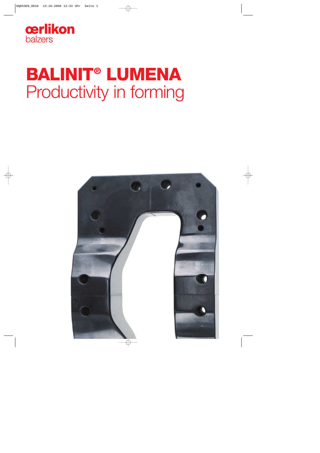

# **BALINIT® LUMENA** Productivity in forming

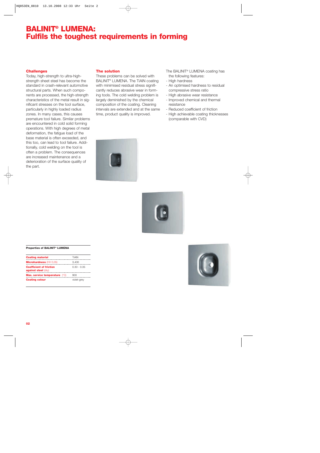# **BALINIT® LUMENA: Fulfils the toughest requirements in forming**

# **Challenges**

Today, high-strength to ultra-highstrength sheet steel has become the standard in crash-relevant automotive structural parts. When such components are processed, the high-strength characteristics of the metal result in significant stresses on the tool surface, particularly in highly loaded radius zones. In many cases, this causes premature tool failure. Similar problems are encountered in cold solid forming operations. With high degrees of metal deformation, the fatigue load of the base material is often exceeded, and this too, can lead to tool failure. Additionally, cold welding on the tool is often a problem. The consequences are increased maintenance and a deterioration of the surface quality of the part.

## **The solution**

These problems can be solved with BALINIT® LUMENA. The TiAlN coating with minimised residual stress significantly reduces abrasive wear in forming tools. The cold welding problem is largely deminished by the chemical composition of the coating. Cleaning intervals are extended and at the same time, product quality is improved.

The BALINIT® LUMENA coating has the following features:

- High hardness
- An optimised hardness to residual compressive stress ratio
- High abrasive wear resistance
- Improved chemical and thermal resistance
- Reduced coefficient of friction
- High achievable coating thicknesses (comparable with CVD)





#### **Properties of BALINIT® LUMENA**

| <b>Coating material</b>                               | TIAIN       |
|-------------------------------------------------------|-------------|
| Microhardness (HV 0.05)                               | 3.400       |
| <b>Coefficient of friction</b><br>against steel (dry) | 0.30 - 0.35 |
| Max. service temperature (°C)                         |             |
| <b>Coating colour</b>                                 | violet-grey |

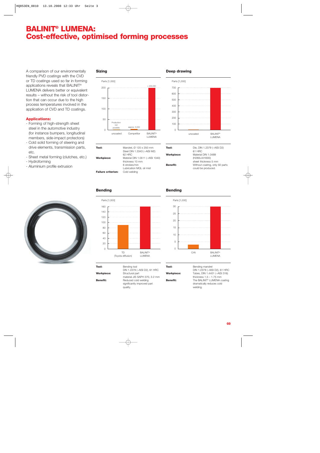# **BALINIT® LUMENA: Cost-effective, optimised forming processes**

A comparison of our environmentally friendly PVD coatings with the CVD or TD coatings used so far in forming applications reveals that BALINIT® LUMENA delivers better or equivalent results – without the risk of tool distortion that can occur due to the high process temperatures involved in the application of CVD and TD coatings.

# **Applications:**

- Forming of high-strength sheet steel in the automotive industry (for instance bumpers, longitudinal members, side-impact protectors)
- Cold solid forming of steering and drive elements, transmission parts, etc.
- Sheet metal forming (clutches, etc.) - Hydroforming
- Aluminium profile extrusion



# **Sizing**



Steel DIN 1.3343 (~AISI M2) 62 HRC **Workpiece:** Material DIN 1.0511 (~AISI 1040) thickness 10 mm 6 strokes/min Lubrication MQL oil mist **Failure criterion:** 

Parts [1,000] **Deep drawing**



| Tool:      | Die, DIN 1.2379 (~AISI D2)     |
|------------|--------------------------------|
|            | 61 HRC                         |
| Workpiece: | Material DIN 1.0489            |
|            | (H280LA/H300)                  |
|            | sheet thickness 5 mm           |
| Benefit:   | Without coating, only 50 parts |
|            | could be produced.             |

# **Bending**



# **Bending**



| Tool:             | Bending tool   |
|-------------------|----------------|
|                   | DIN 1.2379 (   |
| <b>Workpiece:</b> | Structural pa  |
|                   | material JIS ( |

DIN 1.2379 (~AISI D2), 61 HRC Structural part material JIS SAPH 370, 3.2 mm **Benefit:** Reduced cold welding significantly improved part quality.

Tool: **Bending mandrel** DIN 1.2379 (~AISI D2), 61 HRC **Workpiece:** Tubes, DIN 1.4401 (~AISI 316) thickness  $1.5 - 1.75$  mm **Benefit:** The BALINIT® LUMENA coating dramatically reduces cold welding.

#### **03**